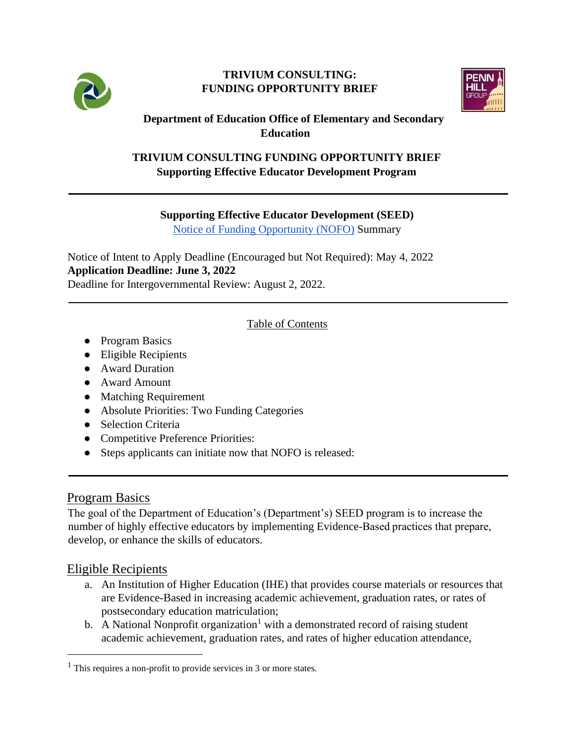

#### **TRIVIUM CONSULTING: FUNDING OPPORTUNITY BRIEF**



## **Department of Education Office of Elementary and Secondary Education**

### **TRIVIUM CONSULTING FUNDING OPPORTUNITY BRIEF Supporting Effective Educator Development Program**

### **Supporting Effective Educator Development (SEED)**

[Notice of Funding Opportunity \(NOFO\)](https://www.federalregister.gov/documents/2022/04/04/2022-06963/applications-for-new-awards-supporting-effective-educator-development-program) [S](https://www.federalregister.gov/documents/2022/04/04/2022-06963/applications-for-new-awards-supporting-effective-educator-development-program)ummary

Notice of Intent to Apply Deadline (Encouraged but Not Required): May 4, 2022 **Application Deadline: June 3, 2022**  Deadline for Intergovernmental Review: August 2, 2022.

## Table of Contents

- Program Basics
- Eligible Recipients
- Award Duration
- Award Amount
- Matching Requirement
- Absolute Priorities: Two Funding Categories
- Selection Criteria
- Competitive Preference Priorities:
- Steps applicants can initiate now that NOFO is released:

# Program Basics

The goal of the Department of Education's (Department's) SEED program is to increase the number of highly effective educators by implementing Evidence-Based practices that prepare, develop, or enhance the skills of educators.

# Eligible Recipients

- a. An Institution of Higher Education (IHE) that provides course materials or resources that are Evidence-Based in increasing academic achievement, graduation rates, or rates of postsecondary education matriculation;
- b. A National Nonprofit organization<sup>1</sup> with a demonstrated record of raising student academic achievement, graduation rates, and rates of higher education attendance,

 $<sup>1</sup>$  This requires a non-profit to provide services in 3 or more states.</sup>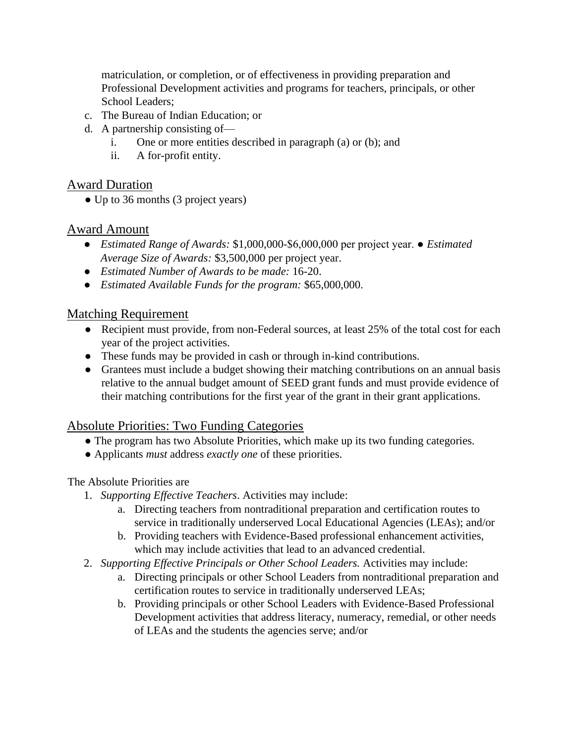matriculation, or completion, or of effectiveness in providing preparation and Professional Development activities and programs for teachers, principals, or other School Leaders:

- c. The Bureau of Indian Education; or
- d. A partnership consisting of
	- i. One or more entities described in paragraph (a) or (b); and
	- ii. A for-profit entity.

### Award Duration

• Up to 36 months (3 project years)

### Award Amount

- *Estimated Range of Awards:* \$1,000,000-\$6,000,000 per project year. *Estimated Average Size of Awards:* \$3,500,000 per project year.
- *Estimated Number of Awards to be made:* 16-20.
- *Estimated Available Funds for the program:* \$65,000,000.

## Matching Requirement

- Recipient must provide, from non-Federal sources, at least 25% of the total cost for each year of the project activities.
- These funds may be provided in cash or through in-kind contributions.
- Grantees must include a budget showing their matching contributions on an annual basis relative to the annual budget amount of SEED grant funds and must provide evidence of their matching contributions for the first year of the grant in their grant applications.

### Absolute Priorities: Two Funding Categories

- The program has two Absolute Priorities, which make up its two funding categories.
- Applicants *must* address *exactly one* of these priorities.

### The Absolute Priorities are

- 1. *Supporting Effective Teachers*. Activities may include:
	- a. Directing teachers from nontraditional preparation and certification routes to service in traditionally underserved Local Educational Agencies (LEAs); and/or
	- b. Providing teachers with Evidence-Based professional enhancement activities, which may include activities that lead to an advanced credential.
- 2. *Supporting Effective Principals or Other School Leaders.* Activities may include:
	- a. Directing principals or other School Leaders from nontraditional preparation and certification routes to service in traditionally underserved LEAs;
	- b. Providing principals or other School Leaders with Evidence-Based Professional Development activities that address literacy, numeracy, remedial, or other needs of LEAs and the students the agencies serve; and/or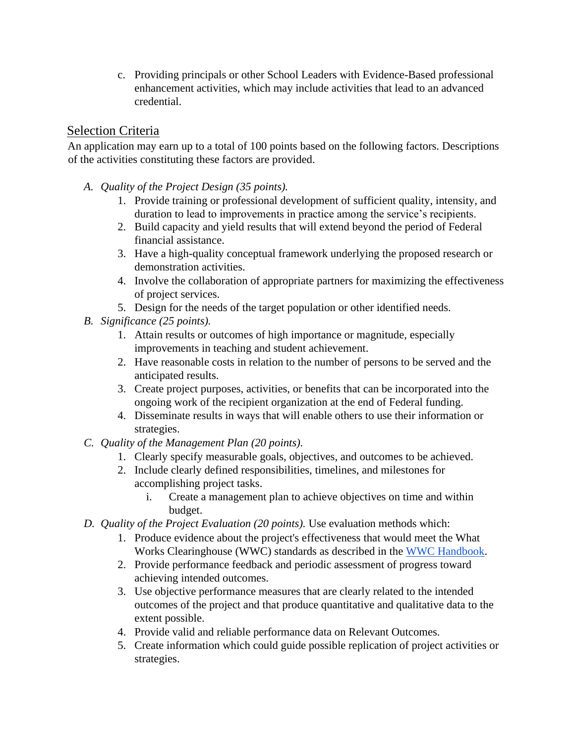c. Providing principals or other School Leaders with Evidence-Based professional enhancement activities, which may include activities that lead to an advanced credential.

## Selection Criteria

An application may earn up to a total of 100 points based on the following factors. Descriptions of the activities constituting these factors are provided.

- *A. Quality of the Project Design (35 points).* 
	- 1. Provide training or professional development of sufficient quality, intensity, and duration to lead to improvements in practice among the service's recipients.
	- 2. Build capacity and yield results that will extend beyond the period of Federal financial assistance.
	- 3. Have a high-quality conceptual framework underlying the proposed research or demonstration activities.
	- 4. Involve the collaboration of appropriate partners for maximizing the effectiveness of project services.
	- 5. Design for the needs of the target population or other identified needs.
- *B. Significance (25 points).* 
	- 1. Attain results or outcomes of high importance or magnitude, especially improvements in teaching and student achievement.
	- 2. Have reasonable costs in relation to the number of persons to be served and the anticipated results.
	- 3. Create project purposes, activities, or benefits that can be incorporated into the ongoing work of the recipient organization at the end of Federal funding.
	- 4. Disseminate results in ways that will enable others to use their information or strategies.
- *C. Quality of the Management Plan (20 points).* 
	- 1. Clearly specify measurable goals, objectives, and outcomes to be achieved.
	- 2. Include clearly defined responsibilities, timelines, and milestones for accomplishing project tasks.
		- i. Create a management plan to achieve objectives on time and within budget.
- *D. Quality of the Project Evaluation (20 points).* Use evaluation methods which:
	- 1. Produce evidence about the project's effectiveness that would meet the What Works Clearinghouse (WWC) standards as described in the [WWC Handbook.](https://ies.ed.gov/ncee/wwc/handbooks)
	- 2. Provide performance feedback and periodic assessment of progress toward achieving intended outcomes.
	- 3. Use objective performance measures that are clearly related to the intended outcomes of the project and that produce quantitative and qualitative data to the extent possible.
	- 4. Provide valid and reliable performance data on Relevant Outcomes.
	- 5. Create information which could guide possible replication of project activities or strategies.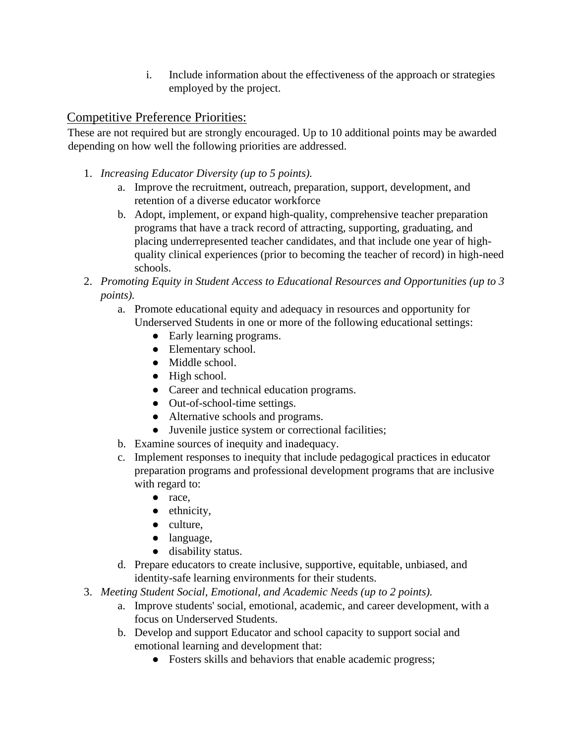i. Include information about the effectiveness of the approach or strategies employed by the project.

# Competitive Preference Priorities:

These are not required but are strongly encouraged. Up to 10 additional points may be awarded depending on how well the following priorities are addressed.

- 1. *Increasing Educator Diversity (up to 5 points).*
	- a. Improve the recruitment, outreach, preparation, support, development, and retention of a diverse educator workforce
	- b. Adopt, implement, or expand high-quality, comprehensive teacher preparation programs that have a track record of attracting, supporting, graduating, and placing underrepresented teacher candidates, and that include one year of highquality clinical experiences (prior to becoming the teacher of record) in high-need schools.
- 2. *Promoting Equity in Student Access to Educational Resources and Opportunities (up to 3 points).*
	- a. Promote educational equity and adequacy in resources and opportunity for Underserved Students in one or more of the following educational settings:
		- Early learning programs.
		- Elementary school.
		- Middle school.
		- High school.
		- Career and technical education programs.
		- Out-of-school-time settings.
		- Alternative schools and programs.
		- Juvenile justice system or correctional facilities;
	- b. Examine sources of inequity and inadequacy.
	- c. Implement responses to inequity that include pedagogical practices in educator preparation programs and professional development programs that are inclusive with regard to:
		- race,
		- ethnicity,
		- culture,
		- language,
		- disability status.
	- d. Prepare educators to create inclusive, supportive, equitable, unbiased, and identity-safe learning environments for their students.
- 3. *Meeting Student Social, Emotional, and Academic Needs (up to 2 points).*
	- a. Improve students' social, emotional, academic, and career development, with a focus on Underserved Students.
	- b. Develop and support Educator and school capacity to support social and emotional learning and development that:
		- Fosters skills and behaviors that enable academic progress;